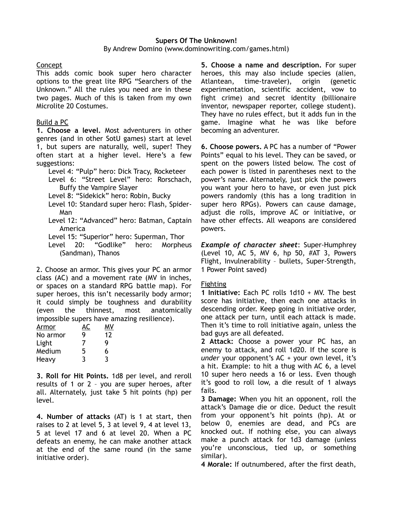# **Supers Of The Unknown!**

By Andrew Domino (www.dominowriting.com/games.html)

## **Concept**

This adds comic book super hero character options to the great lite RPG "Searchers of the Unknown." All the rules you need are in these two pages. Much of this is taken from my own Microlite 20 Costumes.

## Build a PC

**1. Choose a level.** Most adventurers in other genres (and in other SotU games) start at level 1, but supers are naturally, well, super! They often start at a higher level. Here's a few suggestions:

Level 4: "Pulp" hero: Dick Tracy, Rocketeer

Level 6: "Street Level" hero: Rorschach, Buffy the Vampire Slayer

Level 8: "Sidekick" hero: Robin, Bucky

- Level 10: Standard super hero: Flash, Spider-Man
- Level 12: "Advanced" hero: Batman, Captain America

Level 15: "Superior" hero: Superman, Thor

Level 20: "Godlike" hero: Morpheus (Sandman), Thanos

2. Choose an armor. This gives your PC an armor class (AC) and a movement rate (MV in inches, or spaces on a standard RPG battle map). For super heroes, this isn't necessarily body armor; it could simply be toughness and durability (even the thinnest, most anatomically impossible supers have amazing resilience).

| Armor    | AC | M٧ |
|----------|----|----|
| No armor | g  | 12 |
| Light    | 7  | Q  |
| Medium   | 5  | 6  |
| Heavy    | 3  | 3  |

**3. Roll for Hit Points.** 1d8 per level, and reroll results of 1 or 2 – you are super heroes, after all. Alternately, just take 5 hit points (hp) per level.

**4. Number of attacks** (AT) is 1 at start, then raises to 2 at level 5, 3 at level 9, 4 at level 13, 5 at level 17 and 6 at level 20. When a PC defeats an enemy, he can make another attack at the end of the same round (in the same initiative order).

**5. Choose a name and description.** For super heroes, this may also include species (alien, Atlantean, time-traveler), origin (genetic experimentation, scientific accident, vow to fight crime) and secret identity (billionaire inventor, newspaper reporter, college student). They have no rules effect, but it adds fun in the game. Imagine what he was like before becoming an adventurer.

**6. Choose powers.** A PC has a number of "Power Points" equal to his level. They can be saved, or spent on the powers listed below. The cost of each power is listed in parentheses next to the power's name. Alternately, just pick the powers you want your hero to have, or even just pick powers randomly (this has a long tradition in super hero RPGs). Powers can cause damage, adjust die rolls, improve AC or initiative, or have other effects. All weapons are considered powers.

*Example of character sheet*: Super-Humphrey (Level 10, AC 5, MV 6, hp 50, #AT 3, Powers Flight, Invulnerability – bullets, Super-Strength, 1 Power Point saved)

### Fighting

**1 Initiative:** Each PC rolls 1d10 + MV. The best score has initiative, then each one attacks in descending order. Keep going in initiative order, one attack per turn, until each attack is made. Then it's time to roll initiative again, unless the bad guys are all defeated.

**2 Attack:** Choose a power your PC has, an enemy to attack, and roll 1d20. If the score is *under* your opponent's AC + your own level, it's a hit. Example: to hit a thug with AC 6, a level 10 super hero needs a 16 or less. Even though it's good to roll low, a die result of 1 always fails.

**3 Damage:** When you hit an opponent, roll the attack's Damage die or dice. Deduct the result from your opponent's hit points (hp). At or below 0, enemies are dead, and PCs are knocked out. If nothing else, you can always make a punch attack for 1d3 damage (unless you're unconscious, tied up, or something similar).

**4 Morale:** If outnumbered, after the first death,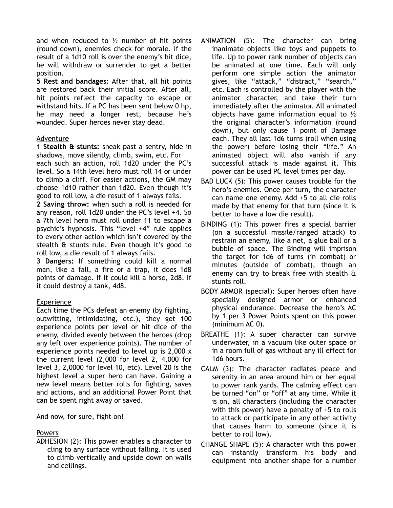and when reduced to  $\frac{1}{2}$  number of hit points (round down), enemies check for morale. If the result of a 1d10 roll is over the enemy's hit dice, he will withdraw or surrender to get a better position.

**5 Rest and bandages:** After that, all hit points are restored back their initial score. After all, hit points reflect the capacity to escape or withstand hits. If a PC has been sent below 0 hp, he may need a longer rest, because he's wounded. Super heroes never stay dead.

#### Adventure

**1 Stealth & stunts:** sneak past a sentry, hide in shadows, move silently, climb, swim, etc. For each such an action, roll 1d20 under the PC's level. So a 14th level hero must roll 14 or under to climb a cliff. For easier actions, the GM may choose 1d10 rather than 1d20. Even though it's good to roll low, a die result of 1 always fails.

**2 Saving throw:** when such a roll is needed for any reason, roll 1d20 under the PC's level +4. So a 7th level hero must roll under 11 to escape a psychic's hypnosis. This "level +4" rule applies to every other action which isn't covered by the stealth & stunts rule. Even though it's good to roll low, a die result of 1 always fails.

**3 Dangers:** If something could kill a normal man, like a fall, a fire or a trap, it does 1d8 points of damage. If it could kill a horse, 2d8. If it could destroy a tank, 4d8.

### Experience

Each time the PCs defeat an enemy (by fighting, outwitting, intimidating, etc.), they get 100 experience points per level or hit dice of the enemy, divided evenly between the heroes (drop any left over experience points). The number of experience points needed to level up is 2,000 x the current level (2,000 for level 2, 4,000 for level 3, 2,0000 for level 10, etc). Level 20 is the highest level a super hero can have. Gaining a new level means better rolls for fighting, saves and actions, and an additional Power Point that can be spent right away or saved.

And now, for sure, fight on!

## Powers

ADHESION (2): This power enables a character to cling to any surface without falling. It is used to climb vertically and upside down on walls and ceilings.

- ANIMATION (5): The character can bring inanimate objects like toys and puppets to life. Up to power rank number of objects can be animated at one time. Each will only perform one simple action the animator gives, like "attack," "distract," "search," etc. Each is controlled by the player with the animator character, and take their turn immediately after the animator. All animated objects have game information equal to ½ the original character's information (round down), but only cause 1 point of Damage each. They all last 1d6 turns (roll when using the power) before losing their "life." An animated object will also vanish if any successful attack is made against it. This power can be used PC level times per day.
- BAD LUCK (5): This power causes trouble for the hero's enemies. Once per turn, the character can name one enemy. Add +5 to all die rolls made by that enemy for that turn (since it is better to have a low die result).
- BINDING (1): This power fires a special barrier (on a successful missile/ranged attack) to restrain an enemy, like a net, a glue ball or a bubble of space. The Binding will imprison the target for 1d6 of turns (in combat) or minutes (outside of combat), though an enemy can try to break free with stealth & stunts roll.
- BODY ARMOR (special): Super heroes often have specially designed armor or enhanced physical endurance. Decrease the hero's AC by 1 per 3 Power Points spent on this power (minimum AC 0).
- BREATHE (1): A super character can survive underwater, in a vacuum like outer space or in a room full of gas without any ill effect for 1d6 hours.
- CALM (3): The character radiates peace and serenity in an area around him or her equal to power rank yards. The calming effect can be turned "on" or "off" at any time. While it is on, all characters (including the character with this power) have a penalty of +5 to rolls to attack or participate in any other activity that causes harm to someone (since it is better to roll low).
- CHANGE SHAPE (5): A character with this power can instantly transform his body and equipment into another shape for a number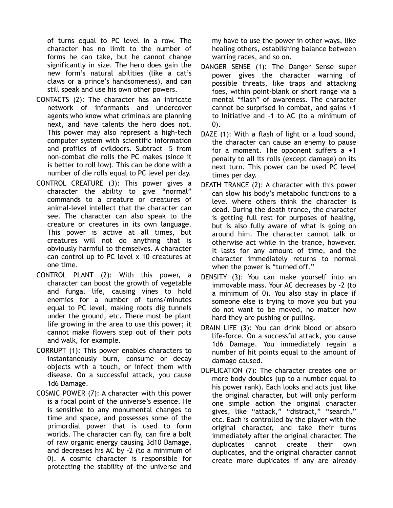of turns equal to PC level in a row. The character has no limit to the number of forms he can take, but he cannot change significantly in size. The hero does gain the new form's natural abilities (like a cat's claws or a prince's handsomeness), and can still speak and use his own other powers.

- CONTACTS (2): The character has an intricate network of informants and undercover agents who know what criminals are planning next, and have talents the hero does not. This power may also represent a high-tech computer system with scientific information and profiles of evildoers. Subtract -5 from non-combat die rolls the PC makes (since it is better to roll low). This can be done with a number of die rolls equal to PC level per day.
- CONTROL CREATURE (3): This power gives a character the ability to give "normal" commands to a creature or creatures of animal-level intellect that the character can see. The character can also speak to the creature or creatures in its own language. This power is active at all times, but creatures will not do anything that is obviously harmful to themselves. A character can control up to PC level x 10 creatures at one time.
- CONTROL PLANT (2): With this power, a character can boost the growth of vegetable and fungal life, causing vines to hold enemies for a number of turns/minutes equal to PC level, making roots dig tunnels under the ground, etc. There must be plant life growing in the area to use this power; it cannot make flowers step out of their pots and walk, for example.
- CORRUPT (1): This power enables characters to instantaneously burn, consume or decay objects with a touch, or infect them with disease. On a successful attack, you cause 1d6 Damage.
- COSMIC POWER (7): A character with this power is a focal point of the universe's essence. He is sensitive to any monumental changes to time and space, and possesses some of the primordial power that is used to form worlds. The character can fly, can fire a bolt of raw organic energy causing 3d10 Damage, and decreases his AC by -2 (to a minimum of 0). A cosmic character is responsible for protecting the stability of the universe and

my have to use the power in other ways, like healing others, establishing balance between warring races, and so on.

- DANGER SENSE (1): The Danger Sense super power gives the character warning of possible threats, like traps and attacking foes, within point-blank or short range via a mental "flash" of awareness. The character cannot be surprised in combat, and gains +1 to Initiative and -1 to AC (to a minimum of 0).
- DAZE (1): With a flash of light or a loud sound, the character can cause an enemy to pause for a moment. The opponent suffers a +1 penalty to all its rolls (except damage) on its next turn. This power can be used PC level times per day.
- DEATH TRANCE (2): A character with this power can slow his body's metabolic functions to a level where others think the character is dead. During the death trance, the character is getting full rest for purposes of healing, but is also fully aware of what is going on around him. The character cannot talk or otherwise act while in the trance, however. It lasts for any amount of time, and the character immediately returns to normal when the power is "turned off."
- DENSITY (3): You can make yourself into an immovable mass. Your AC decreases by -2 (to a minimum of 0). You also stay in place if someone else is trying to move you but you do not want to be moved, no matter how hard they are pushing or pulling.
- DRAIN LIFE (3): You can drink blood or absorb life-force. On a successful attack, you cause 1d6 Damage. You immediately regain a number of hit points equal to the amount of damage caused.
- DUPLICATION (7): The character creates one or more body doubles (up to a number equal to his power rank). Each looks and acts just like the original character, but will only perform one simple action the original character gives, like "attack," "distract," "search," etc. Each is controlled by the player with the original character, and take their turns immediately after the original character. The duplicates cannot create their own duplicates, and the original character cannot create more duplicates if any are already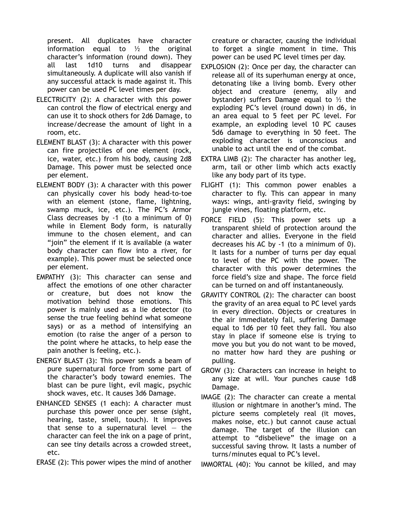present. All duplicates have character information equal to  $\frac{1}{2}$  the original character's information (round down). They all last 1d10 turns and disappear simultaneously. A duplicate will also vanish if any successful attack is made against it. This power can be used PC level times per day.

- ELECTRICITY (2): A character with this power can control the flow of electrical energy and can use it to shock others for 2d6 Damage, to increase/decrease the amount of light in a room, etc.
- ELEMENT BLAST (3): A character with this power can fire projectiles of one element (rock, ice, water, etc.) from his body, causing 2d8 Damage. This power must be selected once per element.
- ELEMENT BODY (3): A character with this power can physically cover his body head-to-toe with an element (stone, flame, lightning, swamp muck, ice, etc.). The PC's Armor Class decreases by -1 (to a minimum of 0) while in Element Body form, is naturally immune to the chosen element, and can "join" the element if it is available (a water body character can flow into a river, for example). This power must be selected once per element.
- EMPATHY (3): This character can sense and affect the emotions of one other character or creature, but does not know the motivation behind those emotions. This power is mainly used as a lie detector (to sense the true feeling behind what someone says) or as a method of intensifying an emotion (to raise the anger of a person to the point where he attacks, to help ease the pain another is feeling, etc.).
- ENERGY BLAST (3): This power sends a beam of pure supernatural force from some part of the character's body toward enemies. The blast can be pure light, evil magic, psychic shock waves, etc. It causes 3d6 Damage.
- ENHANCED SENSES (1 each): A character must purchase this power once per sense (sight, hearing, taste, smell, touch). It improves that sense to a supernatural level  $-$  the character can feel the ink on a page of print, can see tiny details across a crowded street, etc.
- ERASE (2): This power wipes the mind of another

creature or character, causing the individual to forget a single moment in time. This power can be used PC level times per day.

- EXPLOSION (2): Once per day, the character can release all of its superhuman energy at once, detonating like a living bomb. Every other object and creature (enemy, ally and bystander) suffers Damage equal to  $\frac{1}{2}$  the exploding PC's level (round down) in d6, in an area equal to 5 feet per PC level. For example, an exploding level 10 PC causes 5d6 damage to everything in 50 feet. The exploding character is unconscious and unable to act until the end of the combat.
- EXTRA LIMB (2): The character has another leg, arm, tail or other limb which acts exactly like any body part of its type.
- FLIGHT (1): This common power enables a character to fly. This can appear in many ways: wings, anti-gravity field, swinging by jungle vines, floating platform, etc.
- FORCE FIELD (5): This power sets up a transparent shield of protection around the character and allies. Everyone in the field decreases his AC by -1 (to a minimum of 0). It lasts for a number of turns per day equal to level of the PC with the power. The character with this power determines the force field's size and shape. The force field can be turned on and off instantaneously.
- GRAVITY CONTROL (2): The character can boost the gravity of an area equal to PC level yards in every direction. Objects or creatures in the air immediately fall, suffering Damage equal to 1d6 per 10 feet they fall. You also stay in place if someone else is trying to move you but you do not want to be moved, no matter how hard they are pushing or pulling.
- GROW (3): Characters can increase in height to any size at will. Your punches cause 1d8 Damage.
- IMAGE (2): The character can create a mental illusion or nightmare in another's mind. The picture seems completely real (it moves, makes noise, etc.) but cannot cause actual damage. The target of the illusion can attempt to "disbelieve" the image on a successful saving throw. It lasts a number of turns/minutes equal to PC's level.

IMMORTAL (40): You cannot be killed, and may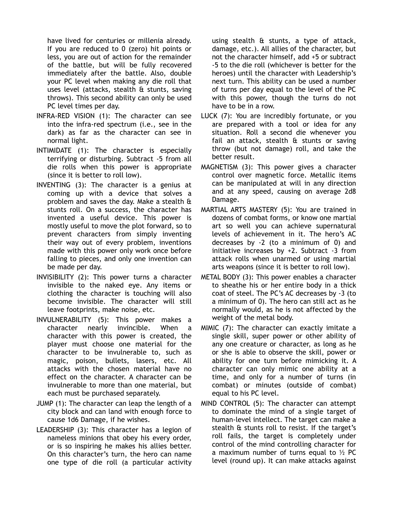have lived for centuries or millenia already. If you are reduced to 0 (zero) hit points or less, you are out of action for the remainder of the battle, but will be fully recovered immediately after the battle. Also, double your PC level when making any die roll that uses level (attacks, stealth & stunts, saving throws). This second ability can only be used PC level times per day.

- INFRA-RED VISION (1): The character can see into the infra-red spectrum (i.e., see in the dark) as far as the character can see in normal light.
- INTIMIDATE (1): The character is especially terrifying or disturbing. Subtract -5 from all die rolls when this power is appropriate (since it is better to roll low).
- INVENTING (3): The character is a genius at coming up with a device that solves a problem and saves the day. Make a stealth & stunts roll. On a success, the character has invented a useful device. This power is mostly useful to move the plot forward, so to prevent characters from simply inventing their way out of every problem, inventions made with this power only work once before falling to pieces, and only one invention can be made per day.
- INVISIBILITY (2): This power turns a character invisible to the naked eye. Any items or clothing the character is touching will also become invisible. The character will still leave footprints, make noise, etc.
- INVULNERABILITY (5): This power makes a character nearly invincible. When a character with this power is created, the player must choose one material for the character to be invulnerable to, such as magic, poison, bullets, lasers, etc. All attacks with the chosen material have no effect on the character. A character can be invulnerable to more than one material, but each must be purchased separately.
- JUMP (1): The character can leap the length of a city block and can land with enough force to cause 1d6 Damage, if he wishes.
- LEADERSHIP (3): This character has a legion of nameless minions that obey his every order, or is so inspiring he makes his allies better. On this character's turn, the hero can name one type of die roll (a particular activity

using stealth & stunts, a type of attack, damage, etc.). All allies of the character, but not the character himself, add +5 or subtract -5 to the die roll (whichever is better for the heroes) until the character with Leadership's next turn. This ability can be used a number of turns per day equal to the level of the PC with this power, though the turns do not have to be in a row.

- LUCK (7): You are incredibly fortunate, or you are prepared with a tool or idea for any situation. Roll a second die whenever you fail an attack, stealth & stunts or saving throw (but not damage) roll, and take the better result.
- MAGNETISM (3): This power gives a character control over magnetic force. Metallic items can be manipulated at will in any direction and at any speed, causing on average 2d8 Damage.
- MARTIAL ARTS MASTERY (5): You are trained in dozens of combat forms, or know one martial art so well you can achieve supernatural levels of achievement in it. The hero's AC decreases by -2 (to a minimum of 0) and initiative increases by +2. Subtract -3 from attack rolls when unarmed or using martial arts weapons (since it is better to roll low).
- METAL BODY (3): This power enables a character to sheathe his or her entire body in a thick coat of steel. The PC's AC decreases by -3 (to a minimum of 0). The hero can still act as he normally would, as he is not affected by the weight of the metal body.
- MIMIC (7): The character can exactly imitate a single skill, super power or other ability of any one creature or character, as long as he or she is able to observe the skill, power or ability for one turn before mimicking it. A character can only mimic one ability at a time, and only for a number of turns (in combat) or minutes (outside of combat) equal to his PC level.
- MIND CONTROL (5): The character can attempt to dominate the mind of a single target of human-level intellect. The target can make a stealth & stunts roll to resist. If the target's roll fails, the target is completely under control of the mind controlling character for a maximum number of turns equal to  $\frac{1}{2}$  PC level (round up). It can make attacks against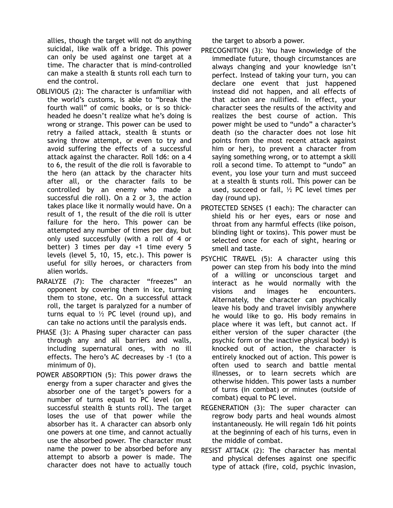allies, though the target will not do anything suicidal, like walk off a bridge. This power can only be used against one target at a time. The character that is mind-controlled can make a stealth & stunts roll each turn to end the control.

- OBLIVIOUS (2): The character is unfamiliar with the world's customs, is able to "break the fourth wall" of comic books, or is so thickheaded he doesn't realize what he's doing is wrong or strange. This power can be used to retry a failed attack, stealth & stunts or saving throw attempt, or even to try and avoid suffering the effects of a successful attack against the character. Roll 1d6: on a 4 to 6, the result of the die roll is favorable to the hero (an attack by the character hits after all, or the character fails to be controlled by an enemy who made a successful die roll). On a 2 or 3, the action takes place like it normally would have. On a result of 1, the result of the die roll is utter failure for the hero. This power can be attempted any number of times per day, but only used successfully (with a roll of 4 or better) 3 times per day +1 time every 5 levels (level 5, 10, 15, etc.). This power is useful for silly heroes, or characters from alien worlds.
- PARALYZE (7): The character "freezes" an opponent by covering them in ice, turning them to stone, etc. On a successful attack roll, the target is paralyzed for a number of turns equal to  $\frac{1}{2}$  PC level (round up), and can take no actions until the paralysis ends.
- PHASE (3): A Phasing super character can pass through any and all barriers and walls, including supernatural ones, with no ill effects. The hero's AC decreases by -1 (to a minimum of 0).
- POWER ABSORPTION (5): This power draws the energy from a super character and gives the absorber one of the target's powers for a number of turns equal to PC level (on a successful stealth & stunts roll). The target loses the use of that power while the absorber has it. A character can absorb only one powers at one time, and cannot actually use the absorbed power. The character must name the power to be absorbed before any attempt to absorb a power is made. The character does not have to actually touch

the target to absorb a power.

- PRECOGNITION (3): You have knowledge of the immediate future, though circumstances are always changing and your knowledge isn't perfect. Instead of taking your turn, you can declare one event that just happened instead did not happen, and all effects of that action are nullified. In effect, your character sees the results of the activity and realizes the best course of action. This power might be used to "undo" a character's death (so the character does not lose hit points from the most recent attack against him or her), to prevent a character from saying something wrong, or to attempt a skill roll a second time. To attempt to "undo" an event, you lose your turn and must succeed at a stealth & stunts roll. This power can be used, succeed or fail, ½ PC level times per day (round up).
- PROTECTED SENSES (1 each): The character can shield his or her eyes, ears or nose and throat from any harmful effects (like poison, blinding light or toxins). This power must be selected once for each of sight, hearing or smell and taste.
- PSYCHIC TRAVEL (5): A character using this power can step from his body into the mind of a willing or unconscious target and interact as he would normally with the visions and images he encounters. Alternately, the character can psychically leave his body and travel invisibly anywhere he would like to go. His body remains in place where it was left, but cannot act. If either version of the super character (the psychic form or the inactive physical body) is knocked out of action, the character is entirely knocked out of action. This power is often used to search and battle mental illnesses, or to learn secrets which are otherwise hidden. This power lasts a number of turns (in combat) or minutes (outside of combat) equal to PC level.
- REGENERATION (3): The super character can regrow body parts and heal wounds almost instantaneously. He will regain 1d6 hit points at the beginning of each of his turns, even in the middle of combat.
- RESIST ATTACK (2): The character has mental and physical defenses against one specific type of attack (fire, cold, psychic invasion,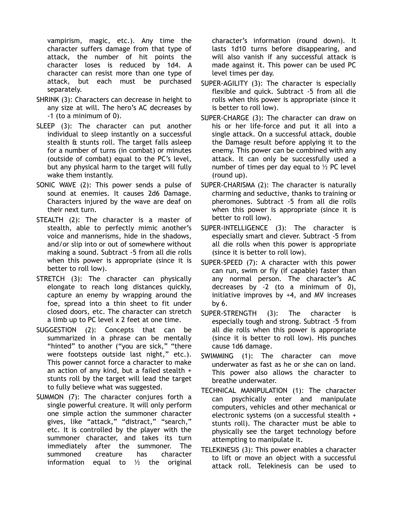vampirism, magic, etc.). Any time the character suffers damage from that type of attack, the number of hit points the character loses is reduced by 1d4. A character can resist more than one type of attack, but each must be purchased separately.

- SHRINK (3): Characters can decrease in height to any size at will. The hero's AC decreases by -1 (to a minimum of 0).
- SLEEP (3): The character can put another individual to sleep instantly on a successful stealth & stunts roll. The target falls asleep for a number of turns (in combat) or minutes (outside of combat) equal to the PC's level, but any physical harm to the target will fully wake them instantly.
- SONIC WAVE (2): This power sends a pulse of sound at enemies. It causes 2d6 Damage. Characters injured by the wave are deaf on their next turn.
- STEALTH (2): The character is a master of stealth, able to perfectly mimic another's voice and mannerisms, hide in the shadows, and/or slip into or out of somewhere without making a sound. Subtract -5 from all die rolls when this power is appropriate (since it is better to roll low).
- STRETCH (3): The character can physically elongate to reach long distances quickly, capture an enemy by wrapping around the foe, spread into a thin sheet to fit under closed doors, etc. The character can stretch a limb up to PC level x 2 feet at one time.
- SUGGESTION (2): Concepts that can be summarized in a phrase can be mentally "hinted" to another ("you are sick," "there were footsteps outside last night," etc.). This power cannot force a character to make an action of any kind, but a failed stealth + stunts roll by the target will lead the target to fully believe what was suggested.
- SUMMON (7): The character conjures forth a single powerful creature. It will only perform one simple action the summoner character gives, like "attack," "distract," "search," etc. It is controlled by the player with the summoner character, and takes its turn immediately after the summoner. The summoned creature has character information equal to  $\frac{1}{2}$  the original

character's information (round down). It lasts 1d10 turns before disappearing, and will also vanish if any successful attack is made against it. This power can be used PC level times per day.

- SUPER-AGILITY (3): The character is especially flexible and quick. Subtract -5 from all die rolls when this power is appropriate (since it is better to roll low).
- SUPER-CHARGE (3): The character can draw on his or her life-force and put it all into a single attack. On a successful attack, double the Damage result before applying it to the enemy. This power can be combined with any attack. It can only be successfully used a number of times per day equal to  $\frac{1}{2}$  PC level (round up).
- SUPER-CHARISMA (2): The character is naturally charming and seductive, thanks to training or pheromones. Subtract -5 from all die rolls when this power is appropriate (since it is better to roll low).
- SUPER-INTELLIGENCE (3): The character is especially smart and clever. Subtract -5 from all die rolls when this power is appropriate (since it is better to roll low).
- SUPER-SPEED (7): A character with this power can run, swim or fly (if capable) faster than any normal person. The character's AC decreases by -2 (to a minimum of 0), initiative improves by +4, and MV increases by 6.
- SUPER-STRENGTH (3): The character is especially tough and strong. Subtract -5 from all die rolls when this power is appropriate (since it is better to roll low). His punches cause 1d6 damage.
- SWIMMING (1): The character can move underwater as fast as he or she can on land. This power also allows the character to breathe underwater.
- TECHNICAL MANIPULATION (1): The character can psychically enter and manipulate computers, vehicles and other mechanical or electronic systems (on a successful stealth + stunts roll). The character must be able to physically see the target technology before attempting to manipulate it.
- TELEKINESIS (3): This power enables a character to lift or move an object with a successful attack roll. Telekinesis can be used to